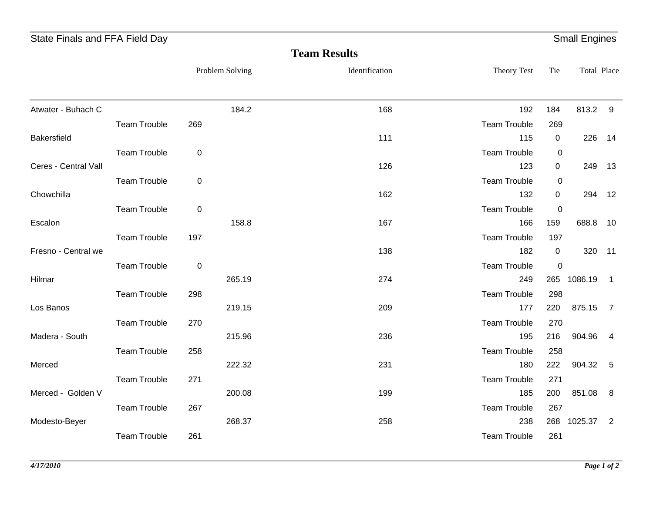| State Finals and FFA Field Day |                     |             |                 |                     |                            |                | <b>Small Engines</b> |                |
|--------------------------------|---------------------|-------------|-----------------|---------------------|----------------------------|----------------|----------------------|----------------|
|                                |                     |             |                 | <b>Team Results</b> |                            |                |                      |                |
|                                |                     |             | Problem Solving | Identification      | Theory Test                | Tie            | Total Place          |                |
| Atwater - Buhach C             |                     |             | 184.2           | 168                 | 192                        | 184            | 813.2 9              |                |
|                                | <b>Team Trouble</b> | 269         |                 |                     | <b>Team Trouble</b>        | 269            |                      |                |
| Bakersfield                    |                     |             |                 | 111                 | 115                        | $\overline{0}$ | 226                  | 14             |
|                                | <b>Team Trouble</b> | $\mathbf 0$ |                 |                     | <b>Team Trouble</b>        | $\mathbf 0$    |                      |                |
| Ceres - Central Vall           |                     |             |                 | 126                 | 123                        | $\mathbf 0$    | 249                  | 13             |
|                                | <b>Team Trouble</b> | $\pmb{0}$   |                 |                     | <b>Team Trouble</b>        | 0              |                      |                |
| Chowchilla                     |                     |             |                 | 162                 | 132                        | 0              | 294 12               |                |
|                                | Team Trouble        | $\pmb{0}$   |                 |                     | <b>Team Trouble</b>        | $\overline{0}$ |                      |                |
| Escalon                        |                     |             | 158.8           | 167                 | 166                        | 159            | 688.8 10             |                |
|                                | <b>Team Trouble</b> | 197         |                 |                     | <b>Team Trouble</b>        | 197            |                      |                |
| Fresno - Central we            |                     |             |                 | 138                 | 182                        | $\overline{0}$ | 320 11               |                |
|                                | <b>Team Trouble</b> | $\pmb{0}$   |                 |                     | <b>Team Trouble</b>        | $\mathbf 0$    |                      |                |
| Hilmar                         |                     |             | 265.19          | 274                 | 249                        |                | 265 1086.19          | $\overline{1}$ |
|                                | <b>Team Trouble</b> | 298         |                 |                     | <b>Team Trouble</b>        | 298            |                      |                |
| Los Banos                      |                     |             | 219.15          | 209                 | 177                        | 220            | 875.15 7             |                |
| Madera - South                 | <b>Team Trouble</b> | 270         | 215.96          | 236                 | <b>Team Trouble</b><br>195 | 270<br>216     | 904.96 4             |                |
|                                | <b>Team Trouble</b> | 258         |                 |                     | <b>Team Trouble</b>        | 258            |                      |                |
| Merced                         |                     |             | 222.32          | 231                 | 180                        | 222            | 904.32 5             |                |
|                                | <b>Team Trouble</b> | 271         |                 |                     | <b>Team Trouble</b>        | 271            |                      |                |
| Merced - Golden V              |                     |             | 200.08          | 199                 | 185                        | 200            | 851.08 8             |                |
|                                | <b>Team Trouble</b> | 267         |                 |                     | <b>Team Trouble</b>        | 267            |                      |                |
| Modesto-Beyer                  |                     |             | 268.37          | 258                 | 238                        |                | 268 1025.37 2        |                |
|                                | <b>Team Trouble</b> | 261         |                 |                     | <b>Team Trouble</b>        | 261            |                      |                |
|                                |                     |             |                 |                     |                            |                |                      |                |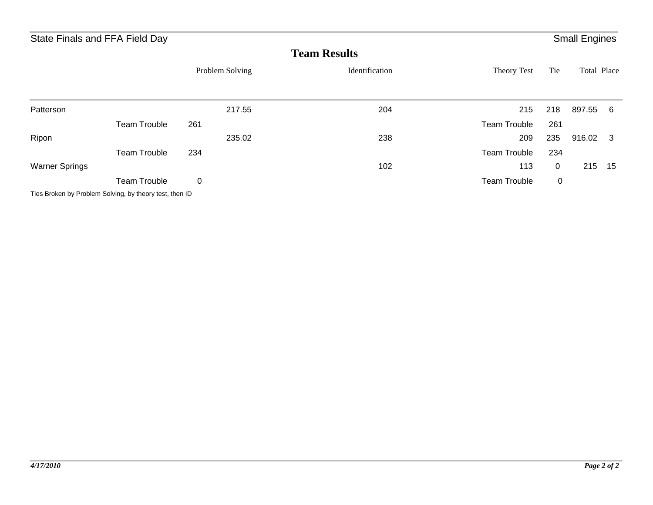| State Finals and FFA Field Day |                                                         |                 |        |                     |                     |             | <b>Small Engines</b> |    |
|--------------------------------|---------------------------------------------------------|-----------------|--------|---------------------|---------------------|-------------|----------------------|----|
|                                |                                                         |                 |        | <b>Team Results</b> |                     |             |                      |    |
|                                |                                                         | Problem Solving |        | Identification      | Theory Test         | Tie         | Total Place          |    |
| Patterson                      |                                                         |                 | 217.55 | 204                 | 215                 | 218         | 897.55 6             |    |
|                                | <b>Team Trouble</b>                                     | 261             |        |                     | <b>Team Trouble</b> | 261         |                      |    |
| Ripon                          |                                                         |                 | 235.02 | 238                 | 209                 | 235         | 916.02 3             |    |
|                                | <b>Team Trouble</b>                                     | 234             |        |                     | <b>Team Trouble</b> | 234         |                      |    |
| <b>Warner Springs</b>          |                                                         |                 |        | 102                 | 113                 | $\mathbf 0$ | 215                  | 15 |
|                                | <b>Team Trouble</b>                                     | 0               |        |                     | <b>Team Trouble</b> | 0           |                      |    |
|                                | Ties Broken by Problem Solving, by theory test, then ID |                 |        |                     |                     |             |                      |    |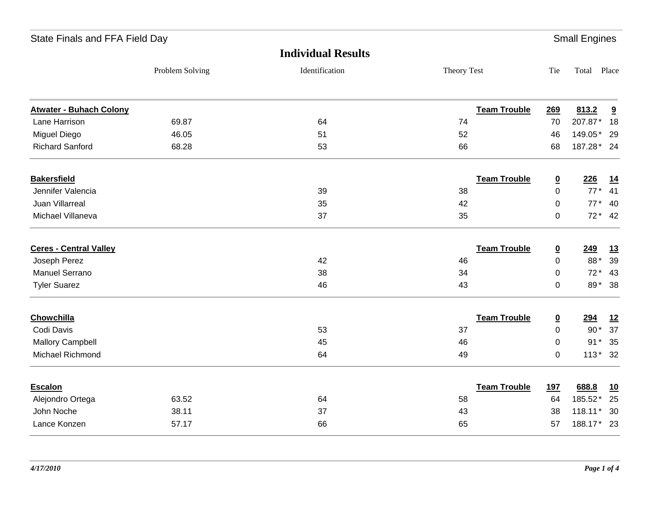| State Finals and FFA Field Day |                 |                           |                     |                         | <b>Small Engines</b> |           |
|--------------------------------|-----------------|---------------------------|---------------------|-------------------------|----------------------|-----------|
|                                |                 | <b>Individual Results</b> |                     |                         |                      |           |
|                                | Problem Solving | Identification            | Theory Test         | Tie                     | Total Place          |           |
| <b>Atwater - Buhach Colony</b> |                 |                           | <b>Team Trouble</b> | 269                     | 813.2                | 9         |
| Lane Harrison                  | 69.87           | 64                        | 74                  | 70                      | 207.87*              | 18        |
| Miguel Diego                   | 46.05           | 51                        | 52                  | 46                      | 149.05*              | - 29      |
| <b>Richard Sanford</b>         | 68.28           | 53                        | 66                  | 68                      | 187.28* 24           |           |
| <b>Bakersfield</b>             |                 |                           | <b>Team Trouble</b> | $\overline{\mathbf{0}}$ | 226                  | 14        |
| Jennifer Valencia              |                 | 39                        | 38                  | $\pmb{0}$               | $77*$                | 41        |
| <b>Juan Villarreal</b>         |                 | 35                        | 42                  | 0                       | $77*$                | 40        |
| Michael Villaneva              |                 | 37                        | 35                  | $\pmb{0}$               | $72* 42$             |           |
| <b>Ceres - Central Valley</b>  |                 |                           | <b>Team Trouble</b> | $\overline{\mathbf{0}}$ | 249                  | 13        |
| Joseph Perez                   |                 | 42                        | 46                  | $\mathbf 0$             | 88*                  | 39        |
| Manuel Serrano                 |                 | 38                        | 34                  | $\pmb{0}$               | $72*$                | 43        |
| <b>Tyler Suarez</b>            |                 | 46                        | 43                  | 0                       | 89*                  | 38        |
| <b>Chowchilla</b>              |                 |                           | <b>Team Trouble</b> | $\overline{\mathbf{0}}$ | 294                  | <u>12</u> |
| Codi Davis                     |                 | 53                        | 37                  | $\mathbf 0$             | $90*$                | 37        |
| <b>Mallory Campbell</b>        |                 | 45                        | 46                  | $\pmb{0}$               | $91*$                | 35        |
| Michael Richmond               |                 | 64                        | 49                  | $\pmb{0}$               | $113*32$             |           |
| Escalon                        |                 |                           | <b>Team Trouble</b> | <b>197</b>              | 688.8                | 10        |
| Alejondro Ortega               | 63.52           | 64                        | 58                  | 64                      | 185.52*              | 25        |
| John Noche                     | 38.11           | 37                        | 43                  | 38                      | 118.11*              | - 30      |
| Lance Konzen                   | 57.17           | 66                        | 65                  | 57                      | 188.17* 23           |           |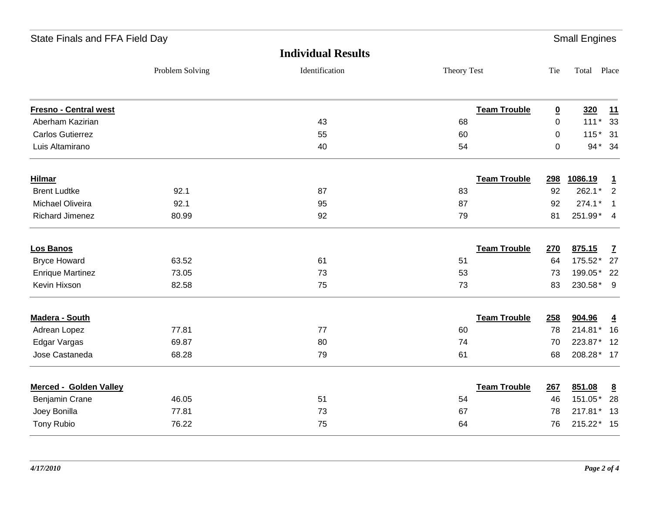| State Finals and FFA Field Day |                 |                           |             |                     |                         | <b>Small Engines</b> |                 |
|--------------------------------|-----------------|---------------------------|-------------|---------------------|-------------------------|----------------------|-----------------|
|                                |                 | <b>Individual Results</b> |             |                     |                         |                      |                 |
|                                | Problem Solving | Identification            | Theory Test |                     | Tie                     | Total Place          |                 |
| <b>Fresno - Central west</b>   |                 |                           |             | <b>Team Trouble</b> | $\overline{\mathbf{0}}$ | 320                  | 11              |
| Aberham Kazirian               |                 | 43                        | 68          |                     | $\mathbf 0$             | $111*$               | 33              |
| <b>Carlos Gutierrez</b>        |                 | 55                        | 60          |                     | 0                       | $115*$               | 31              |
| Luis Altamirano                |                 | 40                        | 54          |                     | $\mathbf 0$             |                      | 94* 34          |
| <b>Hilmar</b>                  |                 |                           |             | <b>Team Trouble</b> | 298                     | 1086.19              | $\mathbf{1}$    |
| <b>Brent Ludtke</b>            | 92.1            | 87                        | 83          |                     | 92                      | 262.1*               | $\overline{2}$  |
| Michael Oliveira               | 92.1            | 95                        | 87          |                     | 92                      | 274.1*               | $\overline{1}$  |
| <b>Richard Jimenez</b>         | 80.99           | 92                        | 79          |                     | 81                      | 251.99* 4            |                 |
| Los Banos                      |                 |                           |             | <b>Team Trouble</b> | 270                     | 875.15               | $\mathbf{Z}$    |
| <b>Bryce Howard</b>            | 63.52           | 61                        | 51          |                     | 64                      | 175.52* 27           |                 |
| <b>Enrique Martinez</b>        | 73.05           | 73                        | 53          |                     | 73                      | 199.05* 22           |                 |
| Kevin Hixson                   | 82.58           | 75                        | 73          |                     | 83                      | 230.58*              | - 9             |
| Madera - South                 |                 |                           |             | <b>Team Trouble</b> | 258                     | 904.96               | $\overline{4}$  |
| Adrean Lopez                   | 77.81           | 77                        | 60          |                     | 78                      | 214.81*              | 16              |
| Edgar Vargas                   | 69.87           | 80                        | 74          |                     | 70                      | 223.87*              | 12              |
| Jose Castaneda                 | 68.28           | 79                        | 61          |                     | 68                      | 208.28* 17           |                 |
| Merced - Golden Valley         |                 |                           |             | <b>Team Trouble</b> | 267                     | 851.08               | $\underline{8}$ |
| Benjamin Crane                 | 46.05           | 51                        | 54          |                     | 46                      | 151.05*              | 28              |
| Joey Bonilla                   | 77.81           | 73                        | 67          |                     | 78                      | 217.81*              | 13              |
| <b>Tony Rubio</b>              | 76.22           | 75                        | 64          |                     | 76                      | 215.22* 15           |                 |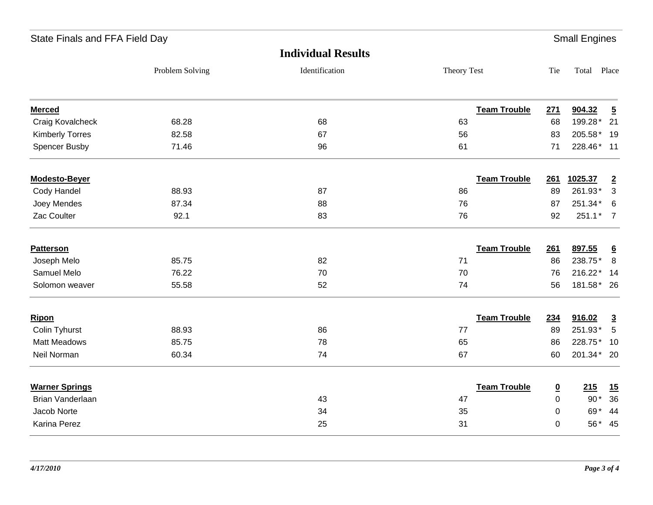| State Finals and FFA Field Day |                 |                           |                     |                          | <b>Small Engines</b> |                 |
|--------------------------------|-----------------|---------------------------|---------------------|--------------------------|----------------------|-----------------|
|                                |                 | <b>Individual Results</b> |                     |                          |                      |                 |
|                                | Problem Solving | Identification            | Theory Test         | Tie                      | Total Place          |                 |
| <b>Merced</b>                  |                 |                           | <b>Team Trouble</b> | 271                      | 904.32               | $\overline{5}$  |
| Craig Kovalcheck               | 68.28           | 68                        | 63                  | 68                       | 199.28*              | 21              |
| <b>Kimberly Torres</b>         | 82.58           | 67                        | 56                  | 83                       | 205.58*              | 19              |
| <b>Spencer Busby</b>           | 71.46           | 96                        | 61                  | 71                       | 228.46*              | 11              |
| Modesto-Beyer                  |                 |                           | <b>Team Trouble</b> | 261                      | 1025.37              | $\overline{2}$  |
| Cody Handel                    | 88.93           | 87                        | 86                  | 89                       | 261.93*              | 3               |
| Joey Mendes                    | 87.34           | 88                        | 76                  | 87                       | 251.34*              | 6               |
| Zac Coulter                    | 92.1            | 83                        | 76                  | 92                       | $251.1*$             | $\overline{7}$  |
| <b>Patterson</b>               |                 |                           | <b>Team Trouble</b> | 261                      | 897.55               | $\underline{6}$ |
| Joseph Melo                    | 85.75           | 82                        | 71                  | 86                       | 238.75*              | 8               |
| Samuel Melo                    | 76.22           | 70                        | 70                  | 76                       | 216.22*              | 14              |
| Solomon weaver                 | 55.58           | 52                        | 74                  | 56                       | 181.58*              | 26              |
| <b>Ripon</b>                   |                 |                           | <b>Team Trouble</b> | 234                      | 916.02               | $\overline{3}$  |
| Colin Tyhurst                  | 88.93           | 86                        | 77                  | 89                       | 251.93*              | 5               |
| <b>Matt Meadows</b>            | 85.75           | 78                        | 65                  | 86                       | 228.75*              | 10              |
| Neil Norman                    | 60.34           | 74                        | 67                  | 60                       | 201.34*              | -20             |
| <b>Warner Springs</b>          |                 |                           | <b>Team Trouble</b> | $\underline{\mathbf{0}}$ | 215                  | 15              |
| Brian Vanderlaan               |                 | 43                        | 47                  | $\pmb{0}$                | $90*$                | 36              |
| Jacob Norte                    |                 | 34                        | 35                  | 0                        | 69*                  | 44              |
| Karina Perez                   |                 | 25                        | 31                  | 0                        | 56*                  | 45              |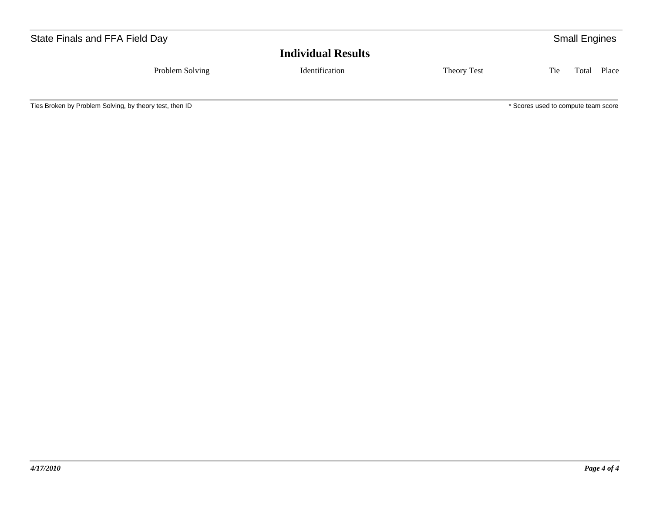| State Finals and FFA Field Day |                           |             |     | <b>Small Engines</b> |
|--------------------------------|---------------------------|-------------|-----|----------------------|
|                                | <b>Individual Results</b> |             |     |                      |
| Problem Solving                | Identification            | Theory Test | Tie | Total Place          |
|                                |                           |             |     |                      |

Ties Broken by Problem Solving, by theory test, then ID  $*$  Scores used to compute team score